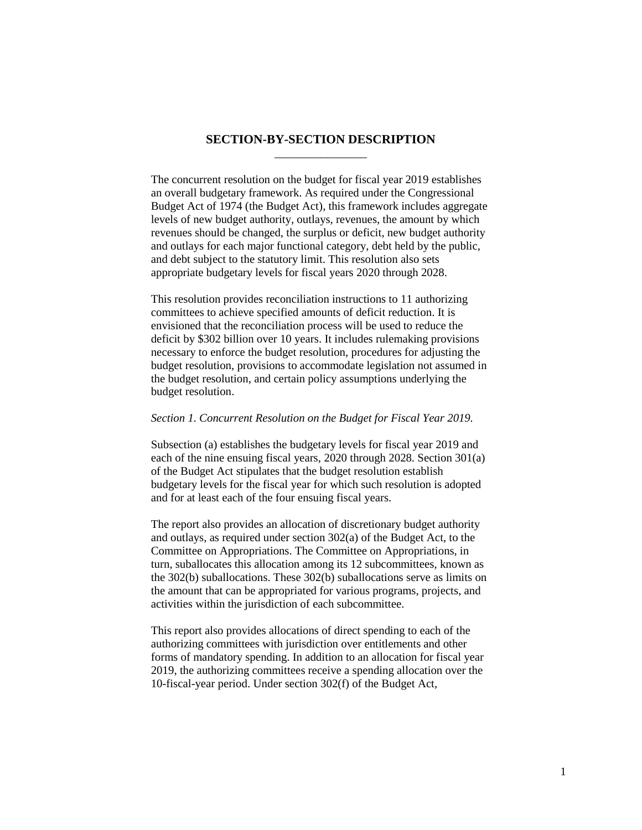# **SECTION-BY-SECTION DESCRIPTION** \_\_\_\_\_\_\_\_\_\_\_\_\_\_\_\_

The concurrent resolution on the budget for fiscal year 2019 establishes an overall budgetary framework. As required under the Congressional Budget Act of 1974 (the Budget Act), this framework includes aggregate levels of new budget authority, outlays, revenues, the amount by which revenues should be changed, the surplus or deficit, new budget authority and outlays for each major functional category, debt held by the public, and debt subject to the statutory limit. This resolution also sets appropriate budgetary levels for fiscal years 2020 through 2028.

This resolution provides reconciliation instructions to 11 authorizing committees to achieve specified amounts of deficit reduction. It is envisioned that the reconciliation process will be used to reduce the deficit by \$302 billion over 10 years. It includes rulemaking provisions necessary to enforce the budget resolution, procedures for adjusting the budget resolution, provisions to accommodate legislation not assumed in the budget resolution, and certain policy assumptions underlying the budget resolution.

### *Section 1. Concurrent Resolution on the Budget for Fiscal Year 2019.*

Subsection (a) establishes the budgetary levels for fiscal year 2019 and each of the nine ensuing fiscal years, 2020 through 2028. Section 301(a) of the Budget Act stipulates that the budget resolution establish budgetary levels for the fiscal year for which such resolution is adopted and for at least each of the four ensuing fiscal years.

The report also provides an allocation of discretionary budget authority and outlays, as required under section 302(a) of the Budget Act, to the Committee on Appropriations. The Committee on Appropriations, in turn, suballocates this allocation among its 12 subcommittees, known as the 302(b) suballocations. These 302(b) suballocations serve as limits on the amount that can be appropriated for various programs, projects, and activities within the jurisdiction of each subcommittee.

This report also provides allocations of direct spending to each of the authorizing committees with jurisdiction over entitlements and other forms of mandatory spending. In addition to an allocation for fiscal year 2019, the authorizing committees receive a spending allocation over the 10-fiscal-year period. Under section 302(f) of the Budget Act,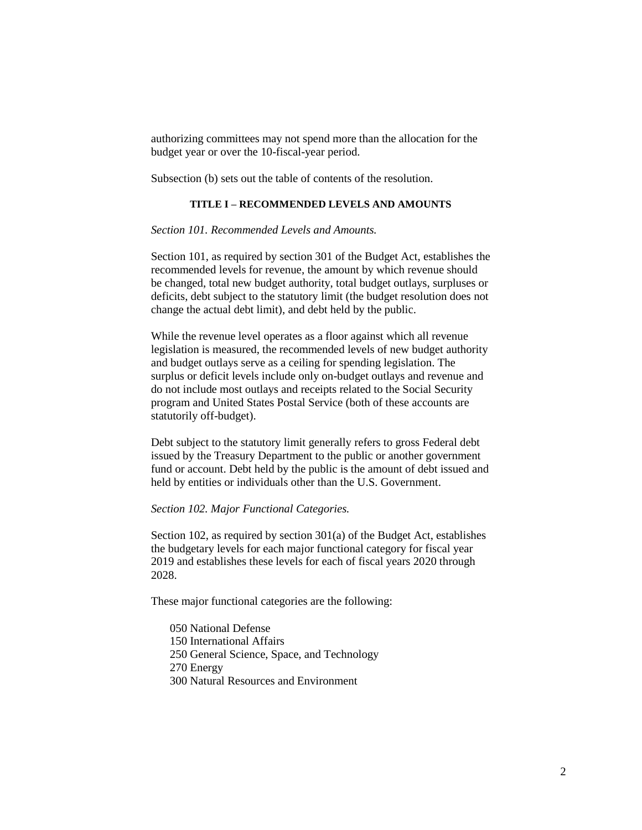authorizing committees may not spend more than the allocation for the budget year or over the 10-fiscal-year period.

Subsection (b) sets out the table of contents of the resolution.

### **TITLE I – RECOMMENDED LEVELS AND AMOUNTS**

## *Section 101. Recommended Levels and Amounts.*

Section 101, as required by section 301 of the Budget Act, establishes the recommended levels for revenue, the amount by which revenue should be changed, total new budget authority, total budget outlays, surpluses or deficits, debt subject to the statutory limit (the budget resolution does not change the actual debt limit), and debt held by the public.

While the revenue level operates as a floor against which all revenue legislation is measured, the recommended levels of new budget authority and budget outlays serve as a ceiling for spending legislation. The surplus or deficit levels include only on-budget outlays and revenue and do not include most outlays and receipts related to the Social Security program and United States Postal Service (both of these accounts are statutorily off-budget).

Debt subject to the statutory limit generally refers to gross Federal debt issued by the Treasury Department to the public or another government fund or account. Debt held by the public is the amount of debt issued and held by entities or individuals other than the U.S. Government.

#### *Section 102. Major Functional Categories.*

Section 102, as required by section 301(a) of the Budget Act, establishes the budgetary levels for each major functional category for fiscal year 2019 and establishes these levels for each of fiscal years 2020 through 2028.

These major functional categories are the following:

- 050 National Defense
- 150 International Affairs
- 250 General Science, Space, and Technology
- 270 Energy
- 300 Natural Resources and Environment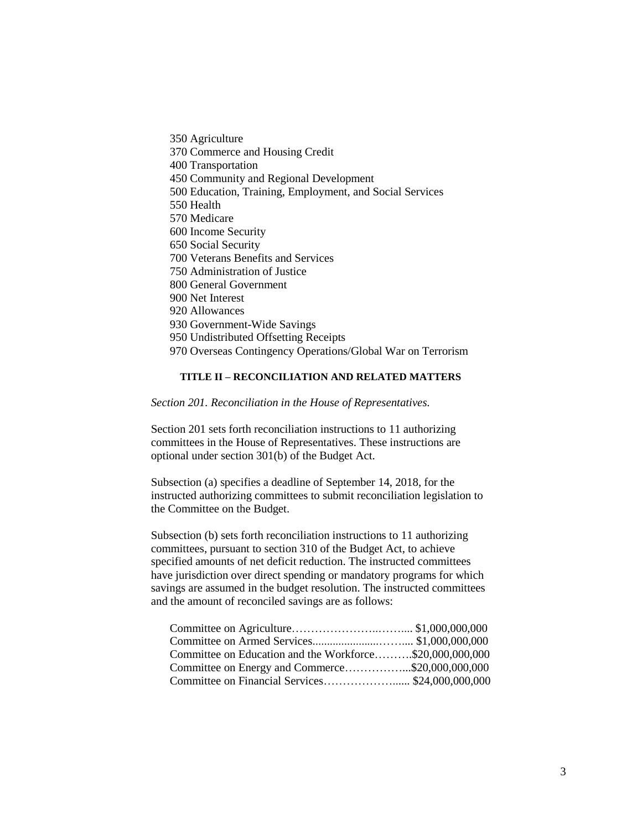350 Agriculture 370 Commerce and Housing Credit 400 Transportation 450 Community and Regional Development 500 Education, Training, Employment, and Social Services 550 Health 570 Medicare 600 Income Security 650 Social Security 700 Veterans Benefits and Services 750 Administration of Justice 800 General Government 900 Net Interest 920 Allowances 930 Government-Wide Savings 950 Undistributed Offsetting Receipts 970 Overseas Contingency Operations/Global War on Terrorism

### **TITLE II – RECONCILIATION AND RELATED MATTERS**

*Section 201. Reconciliation in the House of Representatives.*

Section 201 sets forth reconciliation instructions to 11 authorizing committees in the House of Representatives. These instructions are optional under section 301(b) of the Budget Act.

Subsection (a) specifies a deadline of September 14, 2018, for the instructed authorizing committees to submit reconciliation legislation to the Committee on the Budget.

Subsection (b) sets forth reconciliation instructions to 11 authorizing committees, pursuant to section 310 of the Budget Act, to achieve specified amounts of net deficit reduction. The instructed committees have jurisdiction over direct spending or mandatory programs for which savings are assumed in the budget resolution. The instructed committees and the amount of reconciled savings are as follows:

| Committee on Education and the Workforce\$20,000,000,000 |  |
|----------------------------------------------------------|--|
| Committee on Energy and Commerce\$20,000,000,000         |  |
|                                                          |  |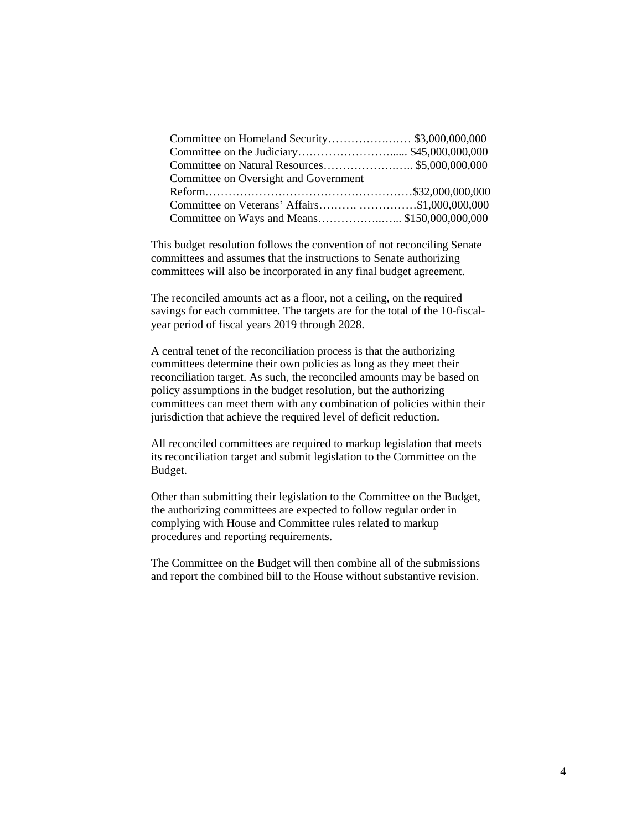| Committee on Oversight and Government         |  |
|-----------------------------------------------|--|
|                                               |  |
| Committee on Veterans' Affairs\$1,000,000,000 |  |
|                                               |  |

This budget resolution follows the convention of not reconciling Senate committees and assumes that the instructions to Senate authorizing committees will also be incorporated in any final budget agreement.

The reconciled amounts act as a floor, not a ceiling, on the required savings for each committee. The targets are for the total of the 10-fiscalyear period of fiscal years 2019 through 2028.

A central tenet of the reconciliation process is that the authorizing committees determine their own policies as long as they meet their reconciliation target. As such, the reconciled amounts may be based on policy assumptions in the budget resolution, but the authorizing committees can meet them with any combination of policies within their jurisdiction that achieve the required level of deficit reduction.

All reconciled committees are required to markup legislation that meets its reconciliation target and submit legislation to the Committee on the Budget.

Other than submitting their legislation to the Committee on the Budget, the authorizing committees are expected to follow regular order in complying with House and Committee rules related to markup procedures and reporting requirements.

The Committee on the Budget will then combine all of the submissions and report the combined bill to the House without substantive revision.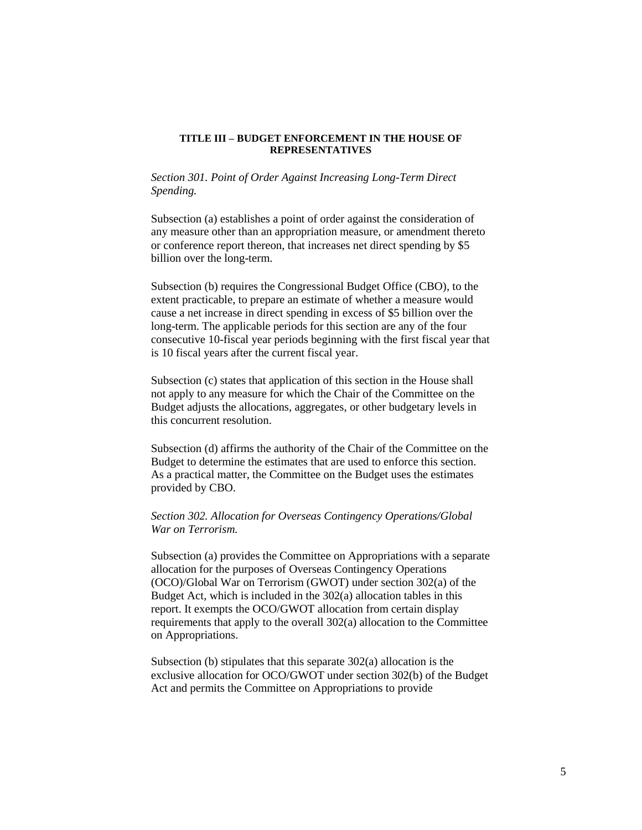## **TITLE III – BUDGET ENFORCEMENT IN THE HOUSE OF REPRESENTATIVES**

*Section 301. Point of Order Against Increasing Long-Term Direct Spending.*

Subsection (a) establishes a point of order against the consideration of any measure other than an appropriation measure, or amendment thereto or conference report thereon, that increases net direct spending by \$5 billion over the long-term.

Subsection (b) requires the Congressional Budget Office (CBO), to the extent practicable, to prepare an estimate of whether a measure would cause a net increase in direct spending in excess of \$5 billion over the long-term. The applicable periods for this section are any of the four consecutive 10-fiscal year periods beginning with the first fiscal year that is 10 fiscal years after the current fiscal year.

Subsection (c) states that application of this section in the House shall not apply to any measure for which the Chair of the Committee on the Budget adjusts the allocations, aggregates, or other budgetary levels in this concurrent resolution.

Subsection (d) affirms the authority of the Chair of the Committee on the Budget to determine the estimates that are used to enforce this section. As a practical matter, the Committee on the Budget uses the estimates provided by CBO.

# *Section 302. Allocation for Overseas Contingency Operations/Global War on Terrorism.*

Subsection (a) provides the Committee on Appropriations with a separate allocation for the purposes of Overseas Contingency Operations (OCO)/Global War on Terrorism (GWOT) under section 302(a) of the Budget Act, which is included in the 302(a) allocation tables in this report. It exempts the OCO/GWOT allocation from certain display requirements that apply to the overall 302(a) allocation to the Committee on Appropriations.

Subsection (b) stipulates that this separate 302(a) allocation is the exclusive allocation for OCO/GWOT under section 302(b) of the Budget Act and permits the Committee on Appropriations to provide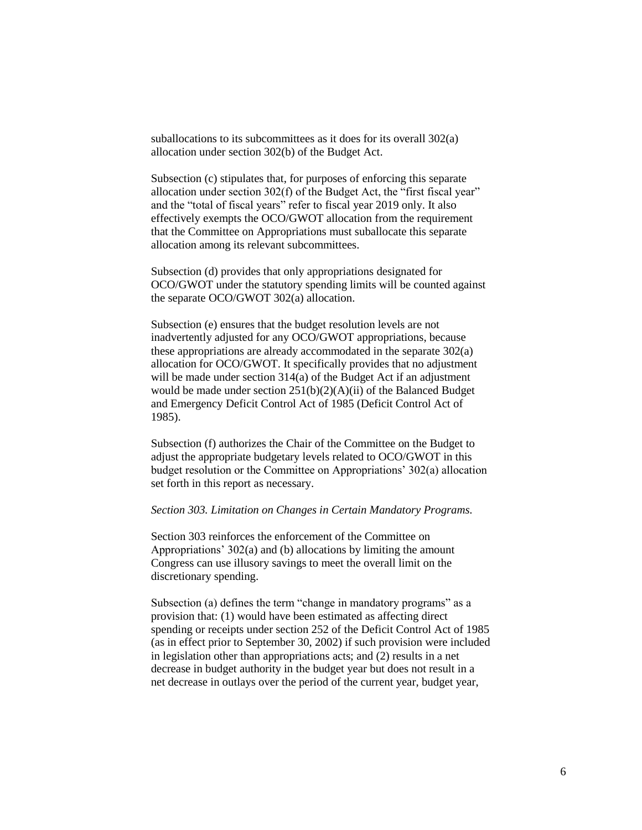suballocations to its subcommittees as it does for its overall 302(a) allocation under section 302(b) of the Budget Act.

Subsection (c) stipulates that, for purposes of enforcing this separate allocation under section 302(f) of the Budget Act, the "first fiscal year" and the "total of fiscal years" refer to fiscal year 2019 only. It also effectively exempts the OCO/GWOT allocation from the requirement that the Committee on Appropriations must suballocate this separate allocation among its relevant subcommittees.

Subsection (d) provides that only appropriations designated for OCO/GWOT under the statutory spending limits will be counted against the separate OCO/GWOT 302(a) allocation.

Subsection (e) ensures that the budget resolution levels are not inadvertently adjusted for any OCO/GWOT appropriations, because these appropriations are already accommodated in the separate 302(a) allocation for OCO/GWOT. It specifically provides that no adjustment will be made under section 314(a) of the Budget Act if an adjustment would be made under section 251(b)(2)(A)(ii) of the Balanced Budget and Emergency Deficit Control Act of 1985 (Deficit Control Act of 1985).

Subsection (f) authorizes the Chair of the Committee on the Budget to adjust the appropriate budgetary levels related to OCO/GWOT in this budget resolution or the Committee on Appropriations' 302(a) allocation set forth in this report as necessary.

#### *Section 303. Limitation on Changes in Certain Mandatory Programs.*

Section 303 reinforces the enforcement of the Committee on Appropriations' 302(a) and (b) allocations by limiting the amount Congress can use illusory savings to meet the overall limit on the discretionary spending.

Subsection (a) defines the term "change in mandatory programs" as a provision that: (1) would have been estimated as affecting direct spending or receipts under section 252 of the Deficit Control Act of 1985 (as in effect prior to September 30, 2002) if such provision were included in legislation other than appropriations acts; and (2) results in a net decrease in budget authority in the budget year but does not result in a net decrease in outlays over the period of the current year, budget year,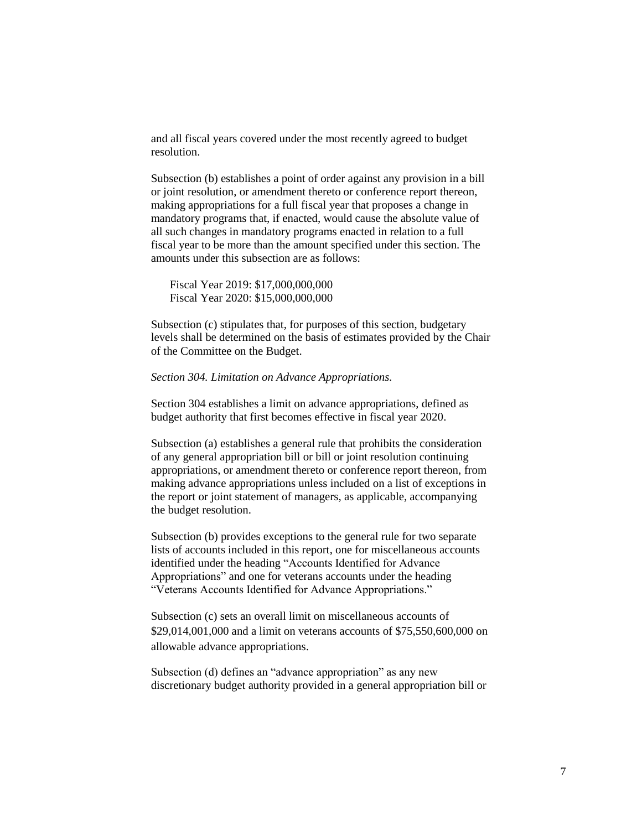and all fiscal years covered under the most recently agreed to budget resolution.

Subsection (b) establishes a point of order against any provision in a bill or joint resolution, or amendment thereto or conference report thereon, making appropriations for a full fiscal year that proposes a change in mandatory programs that, if enacted, would cause the absolute value of all such changes in mandatory programs enacted in relation to a full fiscal year to be more than the amount specified under this section. The amounts under this subsection are as follows:

Fiscal Year 2019: \$17,000,000,000 Fiscal Year 2020: \$15,000,000,000

Subsection (c) stipulates that, for purposes of this section, budgetary levels shall be determined on the basis of estimates provided by the Chair of the Committee on the Budget.

#### *Section 304. Limitation on Advance Appropriations.*

Section 304 establishes a limit on advance appropriations, defined as budget authority that first becomes effective in fiscal year 2020.

Subsection (a) establishes a general rule that prohibits the consideration of any general appropriation bill or bill or joint resolution continuing appropriations, or amendment thereto or conference report thereon, from making advance appropriations unless included on a list of exceptions in the report or joint statement of managers, as applicable, accompanying the budget resolution.

Subsection (b) provides exceptions to the general rule for two separate lists of accounts included in this report, one for miscellaneous accounts identified under the heading "Accounts Identified for Advance Appropriations" and one for veterans accounts under the heading "Veterans Accounts Identified for Advance Appropriations."

Subsection (c) sets an overall limit on miscellaneous accounts of \$29,014,001,000 and a limit on veterans accounts of \$75,550,600,000 on allowable advance appropriations.

Subsection (d) defines an "advance appropriation" as any new discretionary budget authority provided in a general appropriation bill or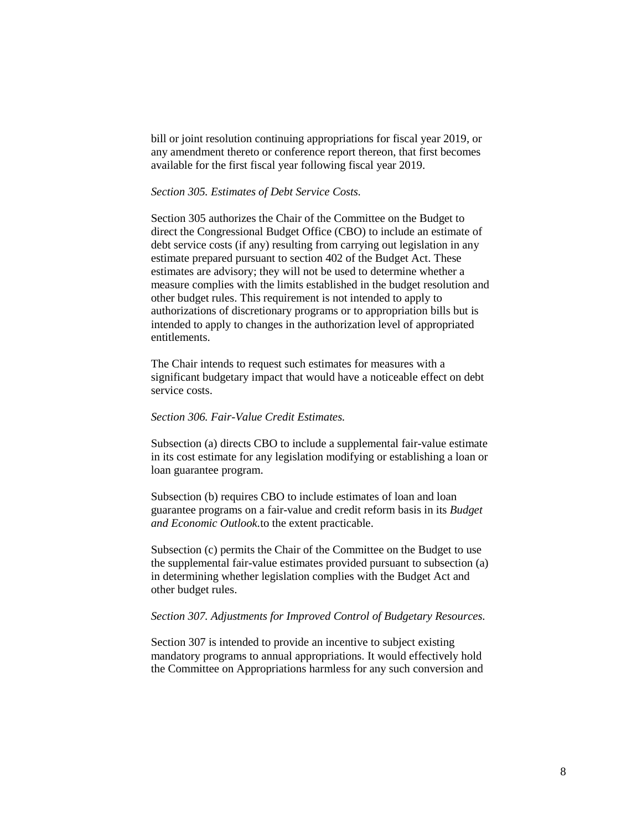bill or joint resolution continuing appropriations for fiscal year 2019, or any amendment thereto or conference report thereon, that first becomes available for the first fiscal year following fiscal year 2019.

## *Section 305. Estimates of Debt Service Costs.*

Section 305 authorizes the Chair of the Committee on the Budget to direct the Congressional Budget Office (CBO) to include an estimate of debt service costs (if any) resulting from carrying out legislation in any estimate prepared pursuant to section 402 of the Budget Act. These estimates are advisory; they will not be used to determine whether a measure complies with the limits established in the budget resolution and other budget rules. This requirement is not intended to apply to authorizations of discretionary programs or to appropriation bills but is intended to apply to changes in the authorization level of appropriated entitlements.

The Chair intends to request such estimates for measures with a significant budgetary impact that would have a noticeable effect on debt service costs.

## *Section 306. Fair-Value Credit Estimates.*

Subsection (a) directs CBO to include a supplemental fair-value estimate in its cost estimate for any legislation modifying or establishing a loan or loan guarantee program.

Subsection (b) requires CBO to include estimates of loan and loan guarantee programs on a fair-value and credit reform basis in its *Budget and Economic Outlook.*to the extent practicable.

Subsection (c) permits the Chair of the Committee on the Budget to use the supplemental fair-value estimates provided pursuant to subsection (a) in determining whether legislation complies with the Budget Act and other budget rules.

## *Section 307. Adjustments for Improved Control of Budgetary Resources.*

Section 307 is intended to provide an incentive to subject existing mandatory programs to annual appropriations. It would effectively hold the Committee on Appropriations harmless for any such conversion and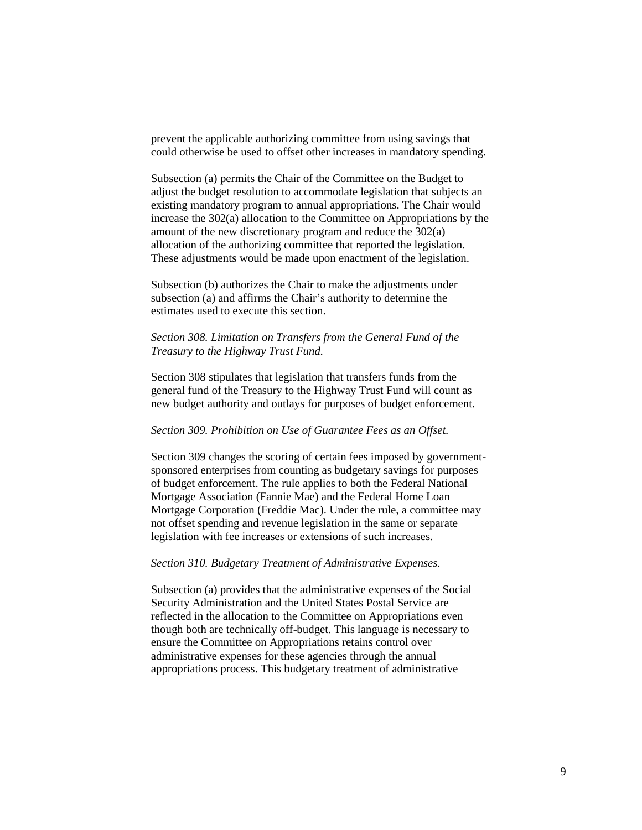prevent the applicable authorizing committee from using savings that could otherwise be used to offset other increases in mandatory spending.

Subsection (a) permits the Chair of the Committee on the Budget to adjust the budget resolution to accommodate legislation that subjects an existing mandatory program to annual appropriations. The Chair would increase the 302(a) allocation to the Committee on Appropriations by the amount of the new discretionary program and reduce the 302(a) allocation of the authorizing committee that reported the legislation. These adjustments would be made upon enactment of the legislation.

Subsection (b) authorizes the Chair to make the adjustments under subsection (a) and affirms the Chair's authority to determine the estimates used to execute this section.

## *Section 308. Limitation on Transfers from the General Fund of the Treasury to the Highway Trust Fund.*

Section 308 stipulates that legislation that transfers funds from the general fund of the Treasury to the Highway Trust Fund will count as new budget authority and outlays for purposes of budget enforcement.

#### *Section 309. Prohibition on Use of Guarantee Fees as an Offset.*

Section 309 changes the scoring of certain fees imposed by governmentsponsored enterprises from counting as budgetary savings for purposes of budget enforcement. The rule applies to both the Federal National Mortgage Association (Fannie Mae) and the Federal Home Loan Mortgage Corporation (Freddie Mac). Under the rule, a committee may not offset spending and revenue legislation in the same or separate legislation with fee increases or extensions of such increases.

#### *Section 310. Budgetary Treatment of Administrative Expenses.*

Subsection (a) provides that the administrative expenses of the Social Security Administration and the United States Postal Service are reflected in the allocation to the Committee on Appropriations even though both are technically off-budget. This language is necessary to ensure the Committee on Appropriations retains control over administrative expenses for these agencies through the annual appropriations process. This budgetary treatment of administrative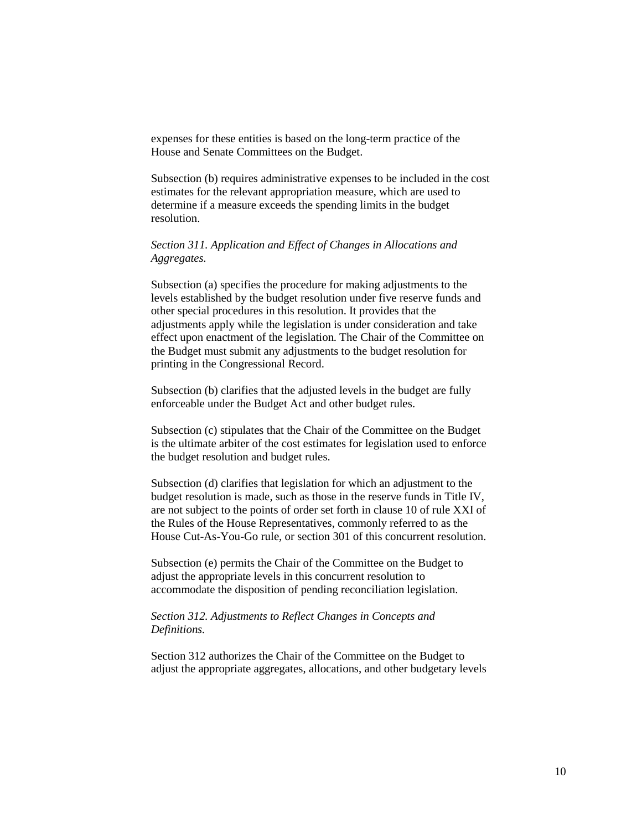expenses for these entities is based on the long-term practice of the House and Senate Committees on the Budget.

Subsection (b) requires administrative expenses to be included in the cost estimates for the relevant appropriation measure, which are used to determine if a measure exceeds the spending limits in the budget resolution.

# *Section 311. Application and Effect of Changes in Allocations and Aggregates.*

Subsection (a) specifies the procedure for making adjustments to the levels established by the budget resolution under five reserve funds and other special procedures in this resolution. It provides that the adjustments apply while the legislation is under consideration and take effect upon enactment of the legislation. The Chair of the Committee on the Budget must submit any adjustments to the budget resolution for printing in the Congressional Record.

Subsection (b) clarifies that the adjusted levels in the budget are fully enforceable under the Budget Act and other budget rules.

Subsection (c) stipulates that the Chair of the Committee on the Budget is the ultimate arbiter of the cost estimates for legislation used to enforce the budget resolution and budget rules.

Subsection (d) clarifies that legislation for which an adjustment to the budget resolution is made, such as those in the reserve funds in Title IV, are not subject to the points of order set forth in clause 10 of rule XXI of the Rules of the House Representatives, commonly referred to as the House Cut-As-You-Go rule, or section 301 of this concurrent resolution.

Subsection (e) permits the Chair of the Committee on the Budget to adjust the appropriate levels in this concurrent resolution to accommodate the disposition of pending reconciliation legislation.

## *Section 312. Adjustments to Reflect Changes in Concepts and Definitions.*

Section 312 authorizes the Chair of the Committee on the Budget to adjust the appropriate aggregates, allocations, and other budgetary levels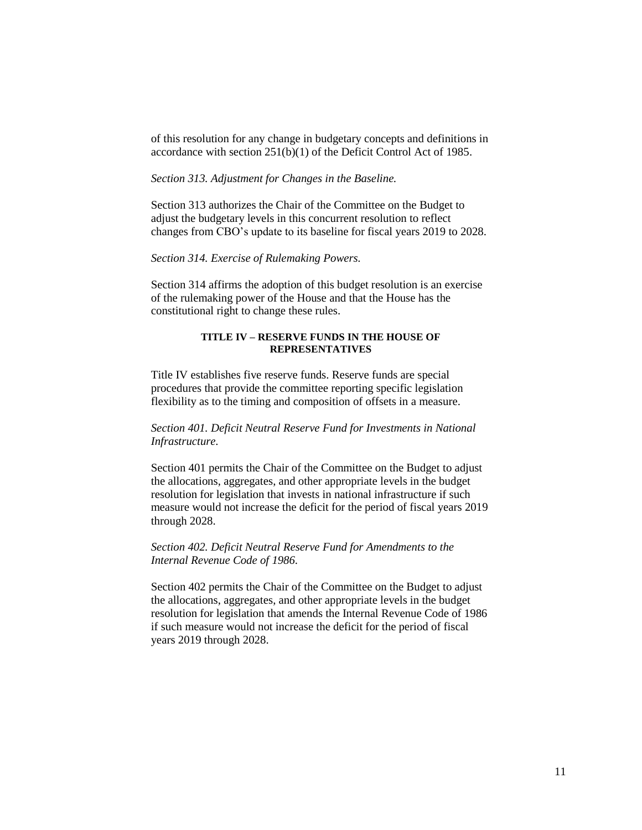of this resolution for any change in budgetary concepts and definitions in accordance with section 251(b)(1) of the Deficit Control Act of 1985.

## *Section 313. Adjustment for Changes in the Baseline.*

Section 313 authorizes the Chair of the Committee on the Budget to adjust the budgetary levels in this concurrent resolution to reflect changes from CBO's update to its baseline for fiscal years 2019 to 2028.

## *Section 314. Exercise of Rulemaking Powers.*

Section 314 affirms the adoption of this budget resolution is an exercise of the rulemaking power of the House and that the House has the constitutional right to change these rules.

## **TITLE IV – RESERVE FUNDS IN THE HOUSE OF REPRESENTATIVES**

Title IV establishes five reserve funds. Reserve funds are special procedures that provide the committee reporting specific legislation flexibility as to the timing and composition of offsets in a measure.

# *Section 401. Deficit Neutral Reserve Fund for Investments in National Infrastructure.*

Section 401 permits the Chair of the Committee on the Budget to adjust the allocations, aggregates, and other appropriate levels in the budget resolution for legislation that invests in national infrastructure if such measure would not increase the deficit for the period of fiscal years 2019 through 2028.

## *Section 402. Deficit Neutral Reserve Fund for Amendments to the Internal Revenue Code of 1986.*

Section 402 permits the Chair of the Committee on the Budget to adjust the allocations, aggregates, and other appropriate levels in the budget resolution for legislation that amends the Internal Revenue Code of 1986 if such measure would not increase the deficit for the period of fiscal years 2019 through 2028.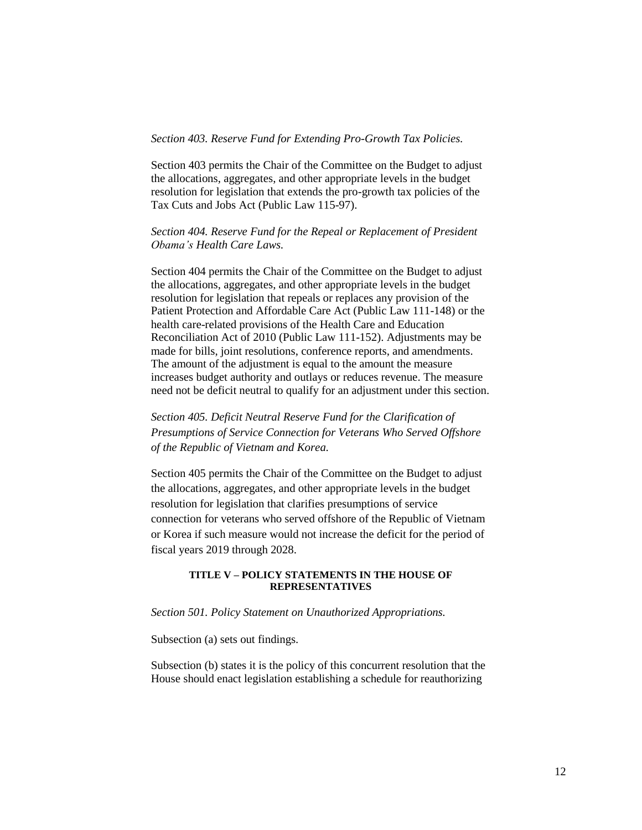## *Section 403. Reserve Fund for Extending Pro-Growth Tax Policies.*

Section 403 permits the Chair of the Committee on the Budget to adjust the allocations, aggregates, and other appropriate levels in the budget resolution for legislation that extends the pro-growth tax policies of the Tax Cuts and Jobs Act (Public Law 115-97).

# *Section 404. Reserve Fund for the Repeal or Replacement of President Obama's Health Care Laws.*

Section 404 permits the Chair of the Committee on the Budget to adjust the allocations, aggregates, and other appropriate levels in the budget resolution for legislation that repeals or replaces any provision of the Patient Protection and Affordable Care Act (Public Law 111-148) or the health care-related provisions of the Health Care and Education Reconciliation Act of 2010 (Public Law 111-152). Adjustments may be made for bills, joint resolutions, conference reports, and amendments. The amount of the adjustment is equal to the amount the measure increases budget authority and outlays or reduces revenue. The measure need not be deficit neutral to qualify for an adjustment under this section.

*Section 405. Deficit Neutral Reserve Fund for the Clarification of Presumptions of Service Connection for Veterans Who Served Offshore of the Republic of Vietnam and Korea.* 

Section 405 permits the Chair of the Committee on the Budget to adjust the allocations, aggregates, and other appropriate levels in the budget resolution for legislation that clarifies presumptions of service connection for veterans who served offshore of the Republic of Vietnam or Korea if such measure would not increase the deficit for the period of fiscal years 2019 through 2028.

### **TITLE V – POLICY STATEMENTS IN THE HOUSE OF REPRESENTATIVES**

## *Section 501. Policy Statement on Unauthorized Appropriations.*

Subsection (a) sets out findings.

Subsection (b) states it is the policy of this concurrent resolution that the House should enact legislation establishing a schedule for reauthorizing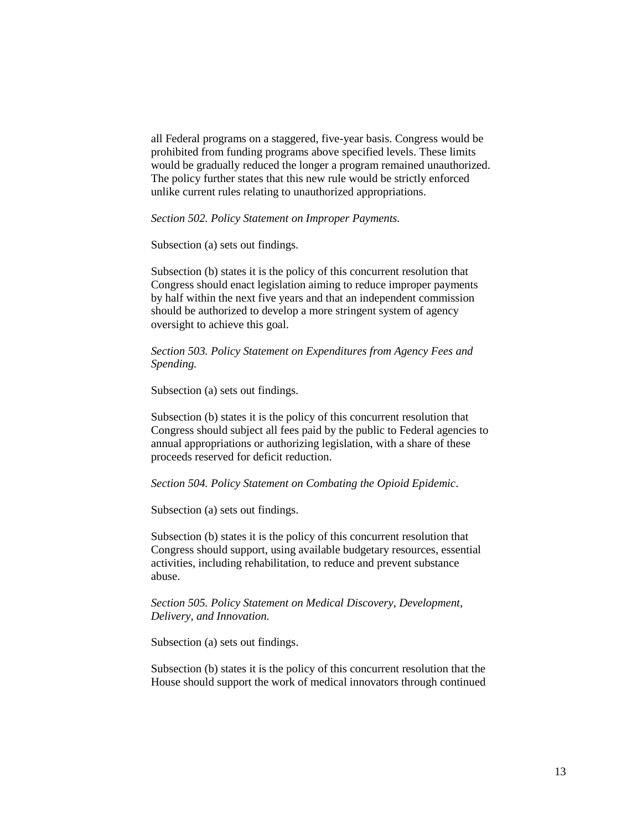all Federal programs on a staggered, five-year basis. Congress would be prohibited from funding programs above specified levels. These limits would be gradually reduced the longer a program remained unauthorized. The policy further states that this new rule would be strictly enforced unlike current rules relating to unauthorized appropriations.

*Section 502. Policy Statement on Improper Payments.* 

Subsection (a) sets out findings.

Subsection (b) states it is the policy of this concurrent resolution that Congress should enact legislation aiming to reduce improper payments by half within the next five years and that an independent commission should be authorized to develop a more stringent system of agency oversight to achieve this goal.

*Section 503. Policy Statement on Expenditures from Agency Fees and Spending.*

Subsection (a) sets out findings.

Subsection (b) states it is the policy of this concurrent resolution that Congress should subject all fees paid by the public to Federal agencies to annual appropriations or authorizing legislation, with a share of these proceeds reserved for deficit reduction.

*Section 504. Policy Statement on Combating the Opioid Epidemic*.

Subsection (a) sets out findings.

Subsection (b) states it is the policy of this concurrent resolution that Congress should support, using available budgetary resources, essential activities, including rehabilitation, to reduce and prevent substance abuse.

*Section 505. Policy Statement on Medical Discovery, Development, Delivery, and Innovation.*

Subsection (a) sets out findings.

Subsection (b) states it is the policy of this concurrent resolution that the House should support the work of medical innovators through continued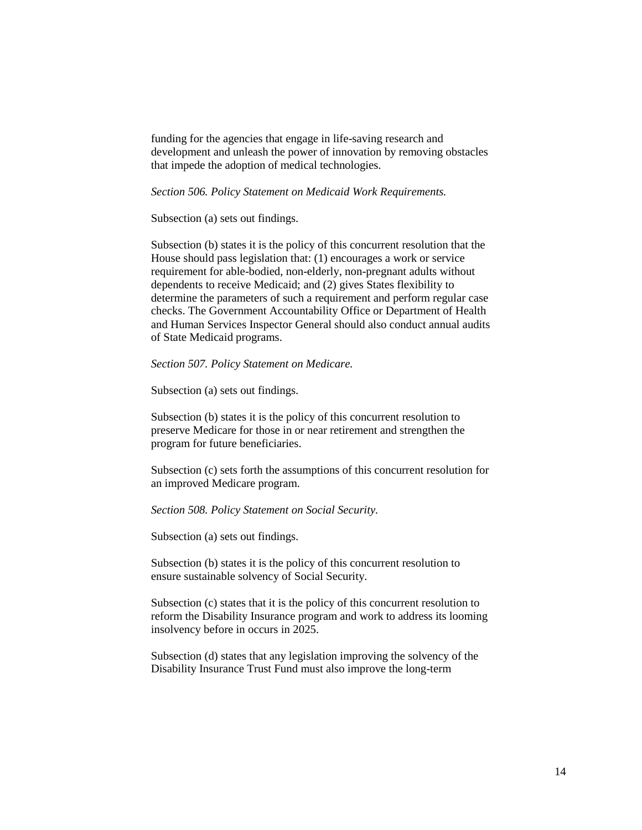funding for the agencies that engage in life-saving research and development and unleash the power of innovation by removing obstacles that impede the adoption of medical technologies.

*Section 506. Policy Statement on Medicaid Work Requirements.*

Subsection (a) sets out findings.

Subsection (b) states it is the policy of this concurrent resolution that the House should pass legislation that: (1) encourages a work or service requirement for able-bodied, non-elderly, non-pregnant adults without dependents to receive Medicaid; and (2) gives States flexibility to determine the parameters of such a requirement and perform regular case checks. The Government Accountability Office or Department of Health and Human Services Inspector General should also conduct annual audits of State Medicaid programs.

### *Section 507. Policy Statement on Medicare.*

Subsection (a) sets out findings.

Subsection (b) states it is the policy of this concurrent resolution to preserve Medicare for those in or near retirement and strengthen the program for future beneficiaries.

Subsection (c) sets forth the assumptions of this concurrent resolution for an improved Medicare program.

*Section 508. Policy Statement on Social Security.*

Subsection (a) sets out findings.

Subsection (b) states it is the policy of this concurrent resolution to ensure sustainable solvency of Social Security.

Subsection (c) states that it is the policy of this concurrent resolution to reform the Disability Insurance program and work to address its looming insolvency before in occurs in 2025.

Subsection (d) states that any legislation improving the solvency of the Disability Insurance Trust Fund must also improve the long-term